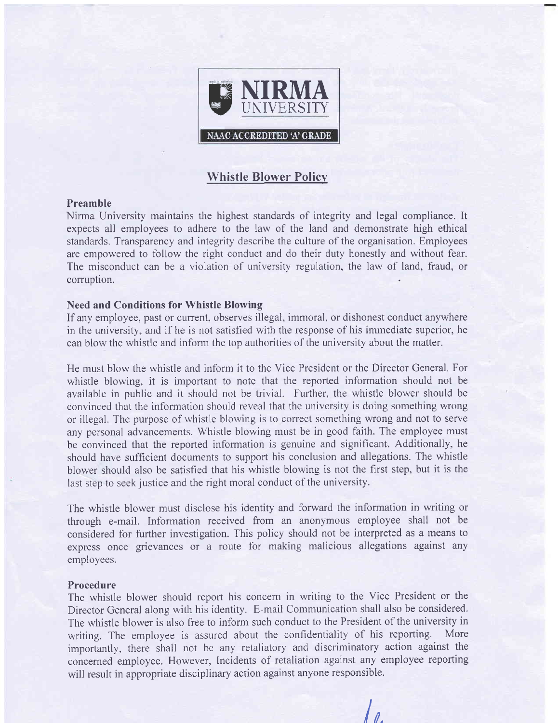

# Whistle Blower Policv

### Preamble

Nirma University maintains the highest standards of integrity and legal compliance. It expects all employees to adhere to the law of the land and demonstrate high ethical standards. Transparency and integrity describe the culture of the organisation. Employees are empowered to follow the right conduct and do their duty honestly and without fear. The misconduct can be a violation of university regulation, the law of land, fraud, or corruption.

### Need and Conditions for Whistle Blowing

If any employee, past or current, observes illegal, immoral, or dishonest conduct anywhere in the university, and if he is not satisfied with the response of his immediate superior, he can blow the whistle and inform the top authorities of the university about the matter.

He must blow the whistle and inform it to the Vice President or the Director General, For whistle blowing, it is important to note that the reported information should not be available in public and it should not be trivial. Further, the whistle blower should be convinced that the information should reveal that the university is doing something wrong or illegal, The purpose of whistle blowing is to correct something wrong and not to serve any personal advancements. Whistle blowing must be in good faith. The employee must be convinced that the reported information is genuine and significant. Additionally, he should have sufficient documents to support his conclusion and allegations. The whistle blower should also be satisfied that his whistle blowing is not the first step, but it is the last step to seek justice and the right moral conduct of the university.

The whistle blower must disclose his identity and forward the information in writing or through e-mail. Information received from an anonymous employee shall not be considered for further investigation. This policy should not be interpreted as a means to express once grievances or a route for making malicious allegations against any employees.

#### Procedure

The whistle blower should report his concern in writing to the Vice President or the Director General along with his identity. E-mail Communication shall also be considered. The whistle blower is also free to inform such conduct to the President of the university in writing. The employee is assured about the confidentiality of his reporting. More importantly, there shall not be any retaliatory and discriminatory action against the concerned employee. However, Incidents of retaliation against any employee reporting will result in appropriate disciplinary action against anyone responsible.

 $\prime$  ,  $\prime$